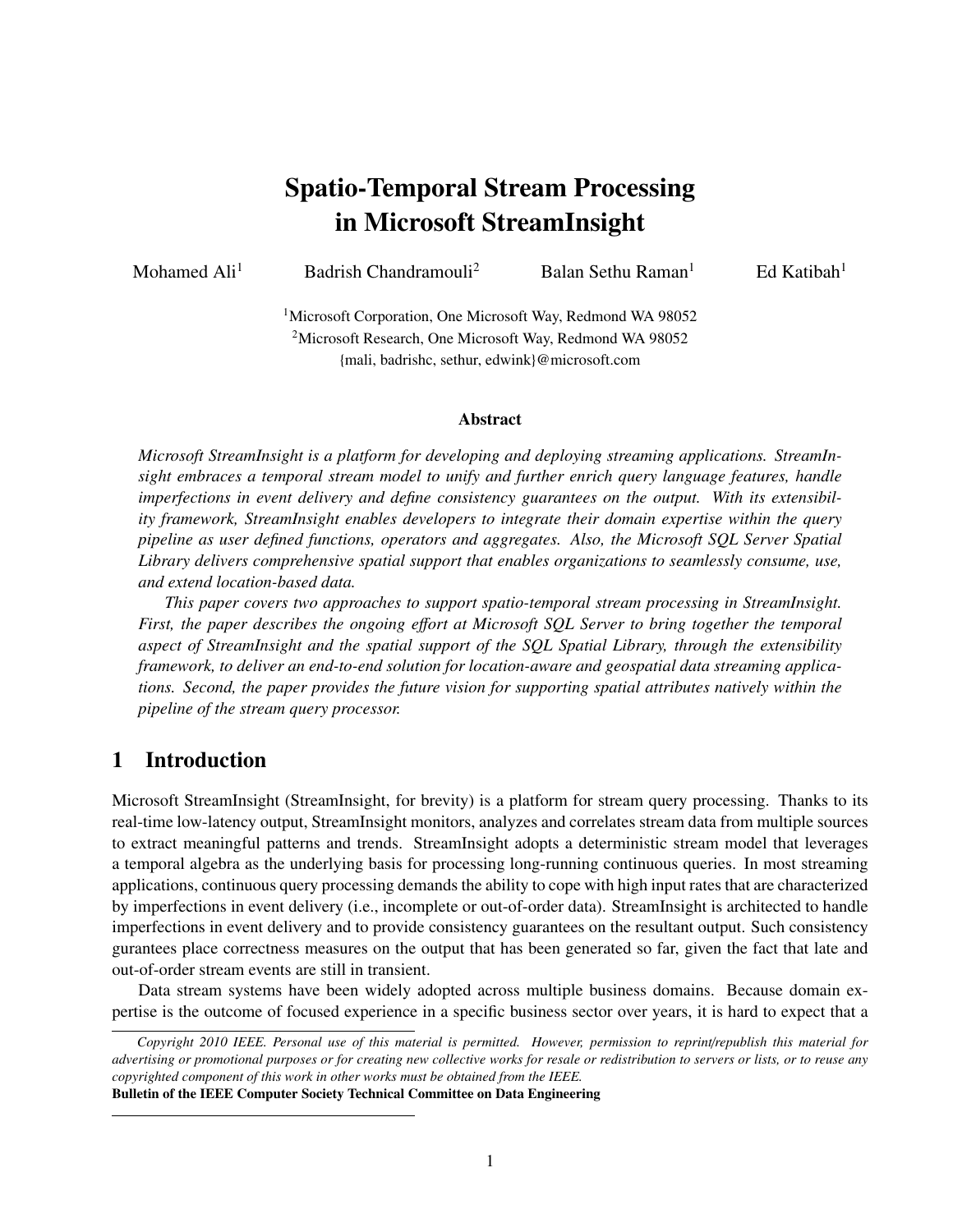# Spatio-Temporal Stream Processing in Microsoft StreamInsight

Mohamed Ali<sup>1</sup> Badrish Chandramouli<sup>2</sup> Balan Sethu Raman<sup>1</sup> Ed Katibah<sup>1</sup>

<sup>1</sup>Microsoft Corporation, One Microsoft Way, Redmond WA 98052 <sup>2</sup>Microsoft Research, One Microsoft Way, Redmond WA 98052 {mali, badrishc, sethur, edwink}@microsoft.com

#### Abstract

*Microsoft StreamInsight is a platform for developing and deploying streaming applications. StreamInsight embraces a temporal stream model to unify and further enrich query language features, handle imperfections in event delivery and define consistency guarantees on the output. With its extensibility framework, StreamInsight enables developers to integrate their domain expertise within the query pipeline as user defined functions, operators and aggregates. Also, the Microsoft SQL Server Spatial Library delivers comprehensive spatial support that enables organizations to seamlessly consume, use, and extend location-based data.*

*This paper covers two approaches to support spatio-temporal stream processing in StreamInsight. First, the paper describes the ongoing e*ff*ort at Microsoft SQL Server to bring together the temporal aspect of StreamInsight and the spatial support of the SQL Spatial Library, through the extensibility framework, to deliver an end-to-end solution for location-aware and geospatial data streaming applications. Second, the paper provides the future vision for supporting spatial attributes natively within the pipeline of the stream query processor.*

# 1 Introduction

Microsoft StreamInsight (StreamInsight, for brevity) is a platform for stream query processing. Thanks to its real-time low-latency output, StreamInsight monitors, analyzes and correlates stream data from multiple sources to extract meaningful patterns and trends. StreamInsight adopts a deterministic stream model that leverages a temporal algebra as the underlying basis for processing long-running continuous queries. In most streaming applications, continuous query processing demands the ability to cope with high input rates that are characterized by imperfections in event delivery (i.e., incomplete or out-of-order data). StreamInsight is architected to handle imperfections in event delivery and to provide consistency guarantees on the resultant output. Such consistency gurantees place correctness measures on the output that has been generated so far, given the fact that late and out-of-order stream events are still in transient.

Data stream systems have been widely adopted across multiple business domains. Because domain expertise is the outcome of focused experience in a specific business sector over years, it is hard to expect that a

Bulletin of the IEEE Computer Society Technical Committee on Data Engineering

*Copyright 2010 IEEE. Personal use of this material is permitted. However, permission to reprint*/*republish this material for advertising or promotional purposes or for creating new collective works for resale or redistribution to servers or lists, or to reuse any copyrighted component of this work in other works must be obtained from the IEEE.*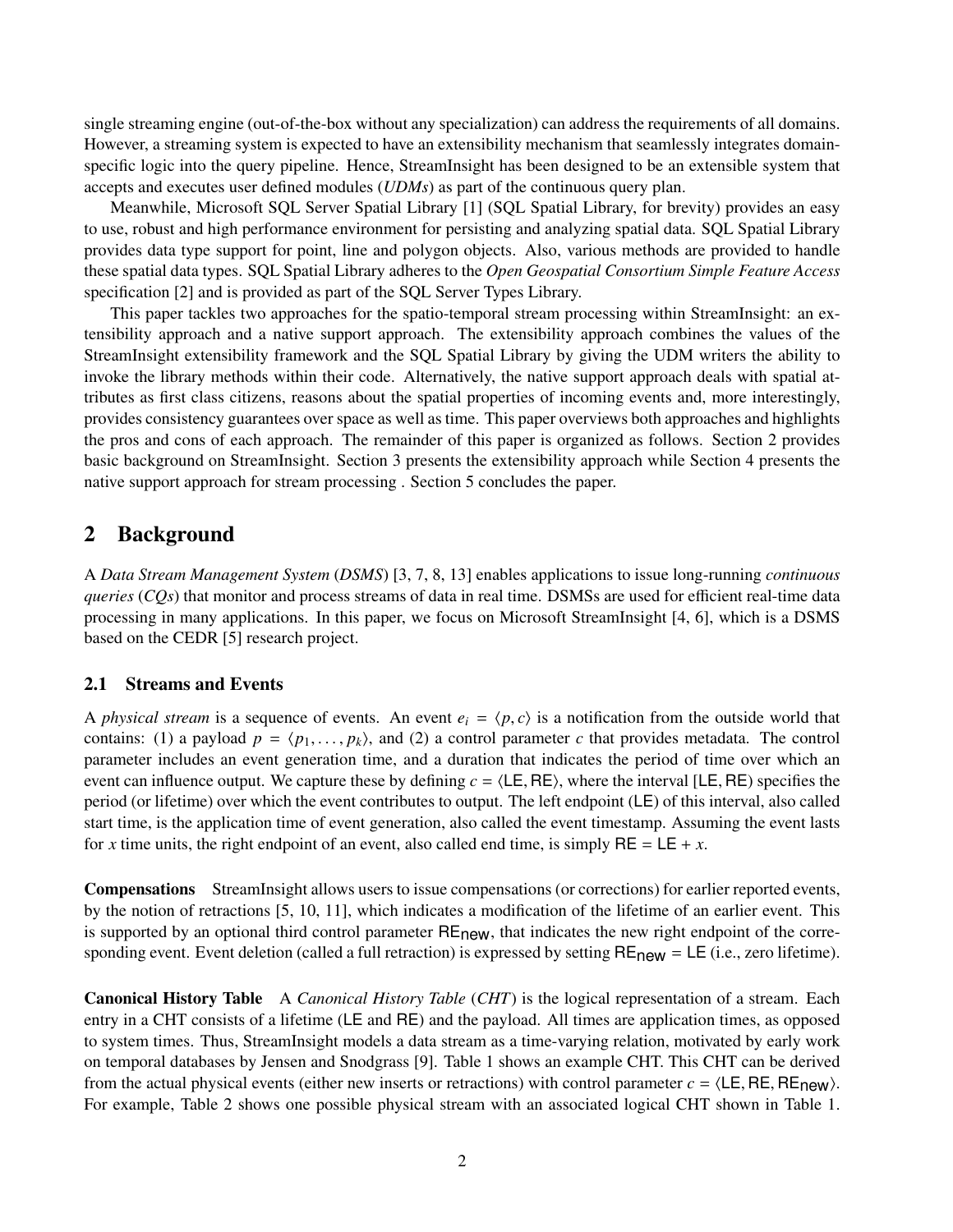single streaming engine (out-of-the-box without any specialization) can address the requirements of all domains. However, a streaming system is expected to have an extensibility mechanism that seamlessly integrates domainspecific logic into the query pipeline. Hence, StreamInsight has been designed to be an extensible system that accepts and executes user defined modules (*UDMs*) as part of the continuous query plan.

Meanwhile, Microsoft SQL Server Spatial Library [1] (SQL Spatial Library, for brevity) provides an easy to use, robust and high performance environment for persisting and analyzing spatial data. SQL Spatial Library provides data type support for point, line and polygon objects. Also, various methods are provided to handle these spatial data types. SQL Spatial Library adheres to the *Open Geospatial Consortium Simple Feature Access* specification [2] and is provided as part of the SQL Server Types Library.

This paper tackles two approaches for the spatio-temporal stream processing within StreamInsight: an extensibility approach and a native support approach. The extensibility approach combines the values of the StreamInsight extensibility framework and the SQL Spatial Library by giving the UDM writers the ability to invoke the library methods within their code. Alternatively, the native support approach deals with spatial attributes as first class citizens, reasons about the spatial properties of incoming events and, more interestingly, provides consistency guarantees over space as well as time. This paper overviews both approaches and highlights the pros and cons of each approach. The remainder of this paper is organized as follows. Section 2 provides basic background on StreamInsight. Section 3 presents the extensibility approach while Section 4 presents the native support approach for stream processing . Section 5 concludes the paper.

## 2 Background

A *Data Stream Management System* (*DSMS*) [3, 7, 8, 13] enables applications to issue long-running *continuous queries* (*CQs*) that monitor and process streams of data in real time. DSMSs are used for efficient real-time data processing in many applications. In this paper, we focus on Microsoft StreamInsight [4, 6], which is a DSMS based on the CEDR [5] research project.

#### 2.1 Streams and Events

A *physical stream* is a sequence of events. An event  $e_i = \langle p, c \rangle$  is a notification from the outside world that contains: (1) a payload  $p = \langle p_1, \ldots, p_k \rangle$ , and (2) a control parameter *c* that provides metadata. The control parameter includes an event generation time, and a duration that indicates the period of time over which an event can influence output. We capture these by defining  $c = \langle LE, RE \rangle$ , where the interval [LE, RE) specifies the period (or lifetime) over which the event contributes to output. The left endpoint (LE) of this interval, also called start time, is the application time of event generation, also called the event timestamp. Assuming the event lasts for *x* time units, the right endpoint of an event, also called end time, is simply  $RE = LE + x$ .

Compensations StreamInsight allows users to issue compensations (or corrections) for earlier reported events, by the notion of retractions [5, 10, 11], which indicates a modification of the lifetime of an earlier event. This is supported by an optional third control parameter RE<sub>new</sub>, that indicates the new right endpoint of the corresponding event. Event deletion (called a full retraction) is expressed by setting  $RE_{new} = LE$  (i.e., zero lifetime).

Canonical History Table A *Canonical History Table* (*CHT*) is the logical representation of a stream. Each entry in a CHT consists of a lifetime (LE and RE) and the payload. All times are application times, as opposed to system times. Thus, StreamInsight models a data stream as a time-varying relation, motivated by early work on temporal databases by Jensen and Snodgrass [9]. Table 1 shows an example CHT. This CHT can be derived from the actual physical events (either new inserts or retractions) with control parameter  $c = \langle LE, RE, RE_{new} \rangle$ . For example, Table 2 shows one possible physical stream with an associated logical CHT shown in Table 1.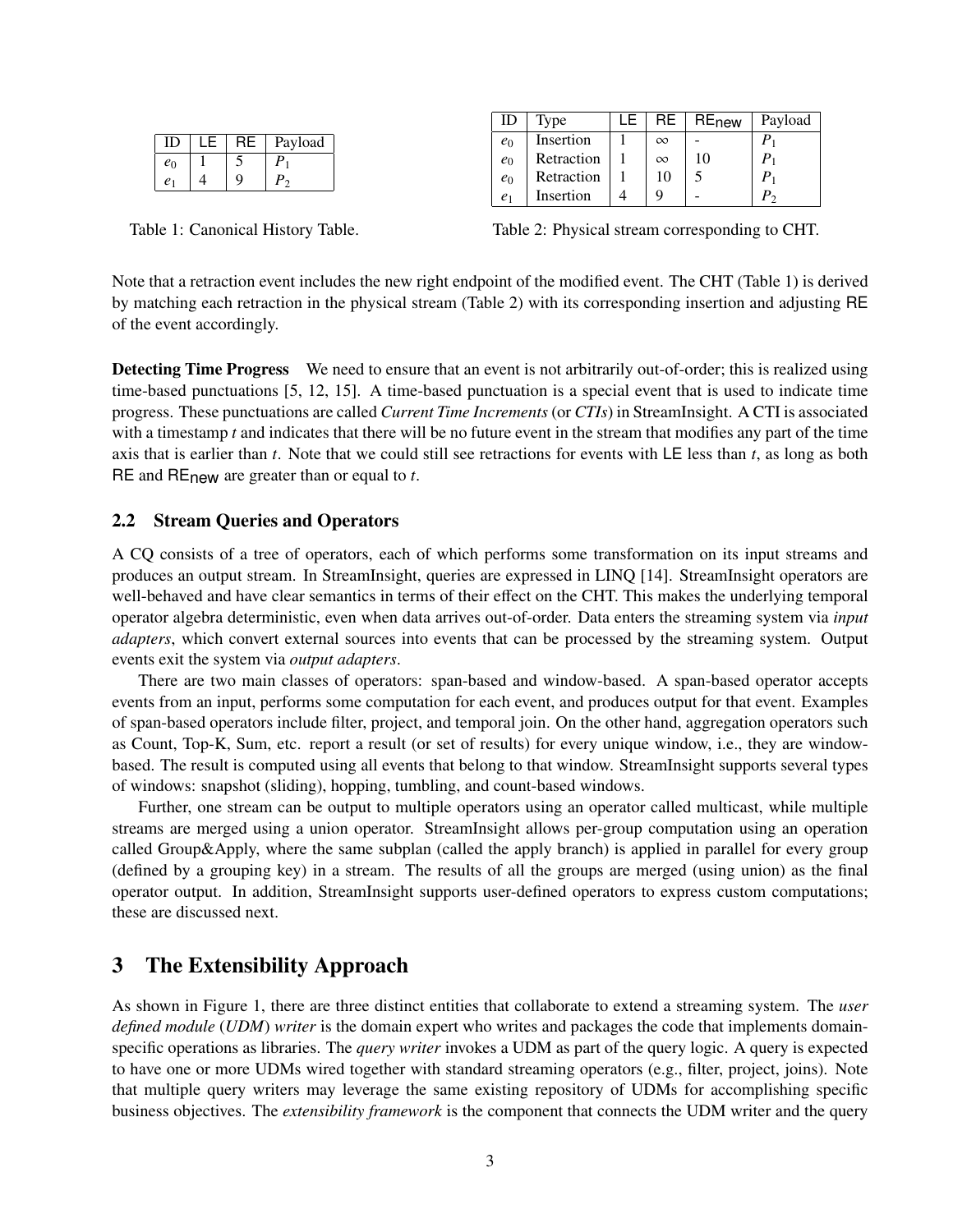| ID.            |   | Payload |
|----------------|---|---------|
| $e_0$          |   | D       |
| e <sub>1</sub> | റ |         |

| ID    | Type       | LE. | RF.      | RE <sub>new</sub> | Payload |
|-------|------------|-----|----------|-------------------|---------|
| $e_0$ | Insertion  |     | $\infty$ |                   |         |
| $e_0$ | Retraction |     | $\infty$ | 10                |         |
| $e_0$ | Retraction |     | 10       |                   |         |
|       | Insertion  |     |          |                   | $\sim$  |

Table 1: Canonical History Table.

Table 2: Physical stream corresponding to CHT.

Note that a retraction event includes the new right endpoint of the modified event. The CHT (Table 1) is derived by matching each retraction in the physical stream (Table 2) with its corresponding insertion and adjusting RE of the event accordingly.

Detecting Time Progress We need to ensure that an event is not arbitrarily out-of-order; this is realized using time-based punctuations [5, 12, 15]. A time-based punctuation is a special event that is used to indicate time progress. These punctuations are called *Current Time Increments* (or *CTIs*) in StreamInsight. A CTI is associated with a timestamp *t* and indicates that there will be no future event in the stream that modifies any part of the time axis that is earlier than *t*. Note that we could still see retractions for events with LE less than *t*, as long as both RE and REnew are greater than or equal to *t*.

## 2.2 Stream Queries and Operators

A CQ consists of a tree of operators, each of which performs some transformation on its input streams and produces an output stream. In StreamInsight, queries are expressed in LINQ [14]. StreamInsight operators are well-behaved and have clear semantics in terms of their effect on the CHT. This makes the underlying temporal operator algebra deterministic, even when data arrives out-of-order. Data enters the streaming system via *input adapters*, which convert external sources into events that can be processed by the streaming system. Output events exit the system via *output adapters*.

There are two main classes of operators: span-based and window-based. A span-based operator accepts events from an input, performs some computation for each event, and produces output for that event. Examples of span-based operators include filter, project, and temporal join. On the other hand, aggregation operators such as Count, Top-K, Sum, etc. report a result (or set of results) for every unique window, i.e., they are windowbased. The result is computed using all events that belong to that window. StreamInsight supports several types of windows: snapshot (sliding), hopping, tumbling, and count-based windows.

Further, one stream can be output to multiple operators using an operator called multicast, while multiple streams are merged using a union operator. StreamInsight allows per-group computation using an operation called Group&Apply, where the same subplan (called the apply branch) is applied in parallel for every group (defined by a grouping key) in a stream. The results of all the groups are merged (using union) as the final operator output. In addition, StreamInsight supports user-defined operators to express custom computations; these are discussed next.

# 3 The Extensibility Approach

As shown in Figure 1, there are three distinct entities that collaborate to extend a streaming system. The *user defined module* (*UDM*) *writer* is the domain expert who writes and packages the code that implements domainspecific operations as libraries. The *query writer* invokes a UDM as part of the query logic. A query is expected to have one or more UDMs wired together with standard streaming operators (e.g., filter, project, joins). Note that multiple query writers may leverage the same existing repository of UDMs for accomplishing specific business objectives. The *extensibility framework* is the component that connects the UDM writer and the query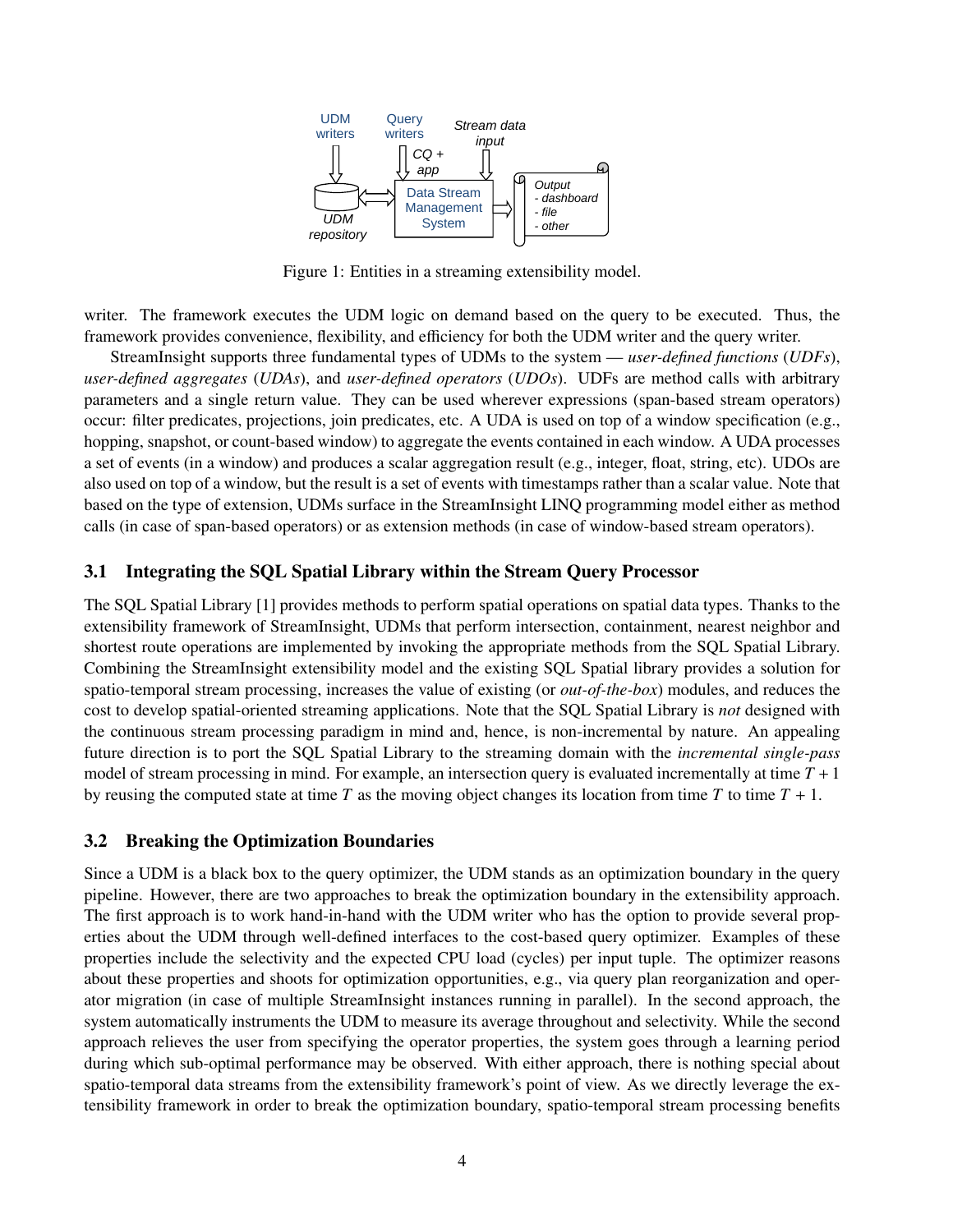

Figure 1: Entities in a streaming extensibility model.

writer. The framework executes the UDM logic on demand based on the query to be executed. Thus, the framework provides convenience, flexibility, and efficiency for both the UDM writer and the query writer.

StreamInsight supports three fundamental types of UDMs to the system — *user-defined functions* (*UDFs*), *user-defined aggregates* (*UDAs*), and *user-defined operators* (*UDOs*). UDFs are method calls with arbitrary parameters and a single return value. They can be used wherever expressions (span-based stream operators) occur: filter predicates, projections, join predicates, etc. A UDA is used on top of a window specification (e.g., hopping, snapshot, or count-based window) to aggregate the events contained in each window. A UDA processes a set of events (in a window) and produces a scalar aggregation result (e.g., integer, float, string, etc). UDOs are also used on top of a window, but the result is a set of events with timestamps rather than a scalar value. Note that based on the type of extension, UDMs surface in the StreamInsight LINQ programming model either as method calls (in case of span-based operators) or as extension methods (in case of window-based stream operators).

## 3.1 Integrating the SQL Spatial Library within the Stream Query Processor

The SQL Spatial Library [1] provides methods to perform spatial operations on spatial data types. Thanks to the extensibility framework of StreamInsight, UDMs that perform intersection, containment, nearest neighbor and shortest route operations are implemented by invoking the appropriate methods from the SQL Spatial Library. Combining the StreamInsight extensibility model and the existing SQL Spatial library provides a solution for spatio-temporal stream processing, increases the value of existing (or *out-of-the-box*) modules, and reduces the cost to develop spatial-oriented streaming applications. Note that the SQL Spatial Library is *not* designed with the continuous stream processing paradigm in mind and, hence, is non-incremental by nature. An appealing future direction is to port the SQL Spatial Library to the streaming domain with the *incremental single-pass* model of stream processing in mind. For example, an intersection query is evaluated incrementally at time  $T + 1$ by reusing the computed state at time  $T$  as the moving object changes its location from time  $T$  to time  $T + 1$ .

## 3.2 Breaking the Optimization Boundaries

Since a UDM is a black box to the query optimizer, the UDM stands as an optimization boundary in the query pipeline. However, there are two approaches to break the optimization boundary in the extensibility approach. The first approach is to work hand-in-hand with the UDM writer who has the option to provide several properties about the UDM through well-defined interfaces to the cost-based query optimizer. Examples of these properties include the selectivity and the expected CPU load (cycles) per input tuple. The optimizer reasons about these properties and shoots for optimization opportunities, e.g., via query plan reorganization and operator migration (in case of multiple StreamInsight instances running in parallel). In the second approach, the system automatically instruments the UDM to measure its average throughout and selectivity. While the second approach relieves the user from specifying the operator properties, the system goes through a learning period during which sub-optimal performance may be observed. With either approach, there is nothing special about spatio-temporal data streams from the extensibility framework's point of view. As we directly leverage the extensibility framework in order to break the optimization boundary, spatio-temporal stream processing benefits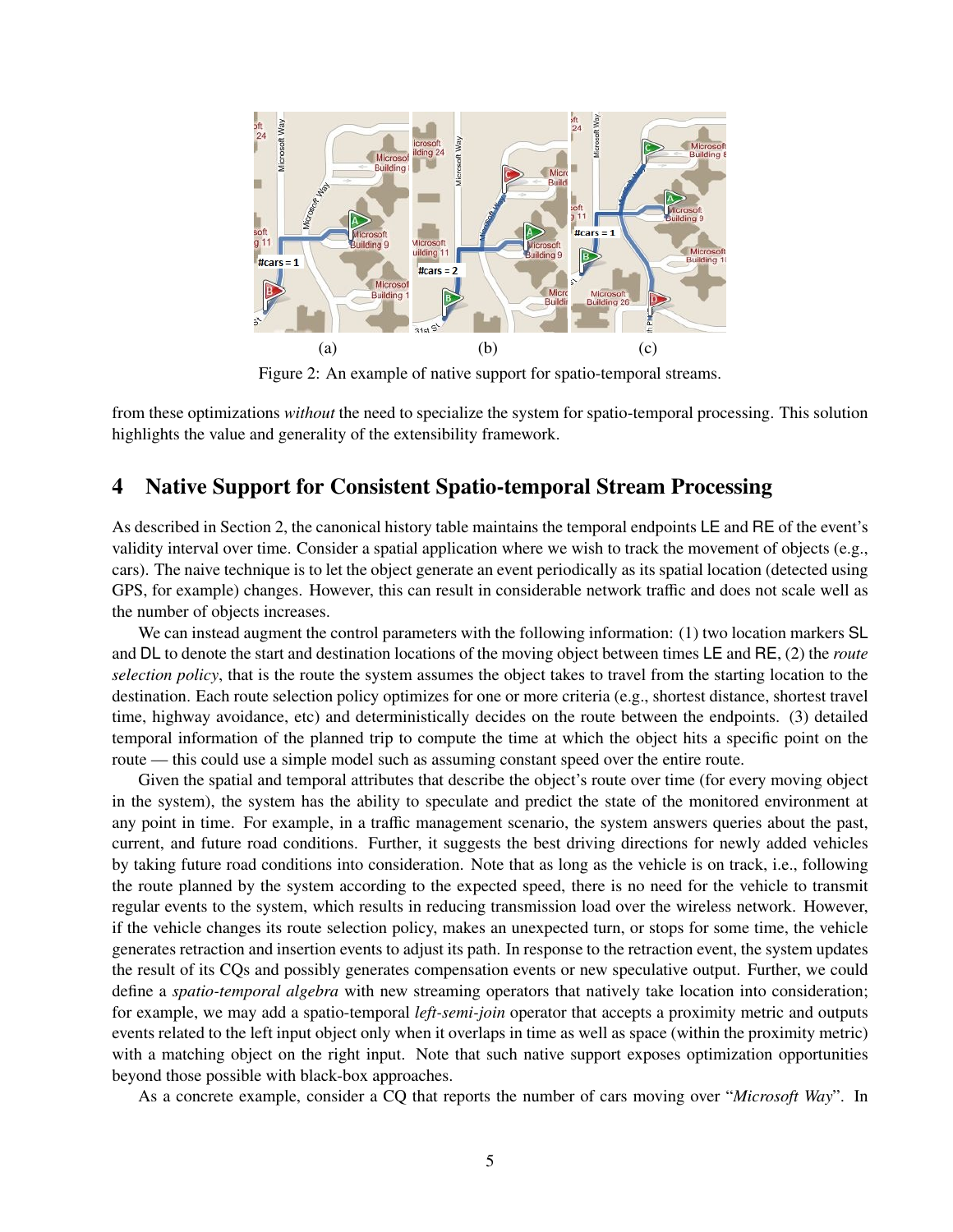

Figure 2: An example of native support for spatio-temporal streams.

from these optimizations *without* the need to specialize the system for spatio-temporal processing. This solution highlights the value and generality of the extensibility framework.

# 4 Native Support for Consistent Spatio-temporal Stream Processing

As described in Section 2, the canonical history table maintains the temporal endpoints LE and RE of the event's validity interval over time. Consider a spatial application where we wish to track the movement of objects (e.g., cars). The naive technique is to let the object generate an event periodically as its spatial location (detected using GPS, for example) changes. However, this can result in considerable network traffic and does not scale well as the number of objects increases.

We can instead augment the control parameters with the following information: (1) two location markers SL and DL to denote the start and destination locations of the moving object between times LE and RE, (2) the *route selection policy*, that is the route the system assumes the object takes to travel from the starting location to the destination. Each route selection policy optimizes for one or more criteria (e.g., shortest distance, shortest travel time, highway avoidance, etc) and deterministically decides on the route between the endpoints. (3) detailed temporal information of the planned trip to compute the time at which the object hits a specific point on the route — this could use a simple model such as assuming constant speed over the entire route.

Given the spatial and temporal attributes that describe the object's route over time (for every moving object in the system), the system has the ability to speculate and predict the state of the monitored environment at any point in time. For example, in a traffic management scenario, the system answers queries about the past, current, and future road conditions. Further, it suggests the best driving directions for newly added vehicles by taking future road conditions into consideration. Note that as long as the vehicle is on track, i.e., following the route planned by the system according to the expected speed, there is no need for the vehicle to transmit regular events to the system, which results in reducing transmission load over the wireless network. However, if the vehicle changes its route selection policy, makes an unexpected turn, or stops for some time, the vehicle generates retraction and insertion events to adjust its path. In response to the retraction event, the system updates the result of its CQs and possibly generates compensation events or new speculative output. Further, we could define a *spatio-temporal algebra* with new streaming operators that natively take location into consideration; for example, we may add a spatio-temporal *left-semi-join* operator that accepts a proximity metric and outputs events related to the left input object only when it overlaps in time as well as space (within the proximity metric) with a matching object on the right input. Note that such native support exposes optimization opportunities beyond those possible with black-box approaches.

As a concrete example, consider a CQ that reports the number of cars moving over "*Microsoft Way*". In